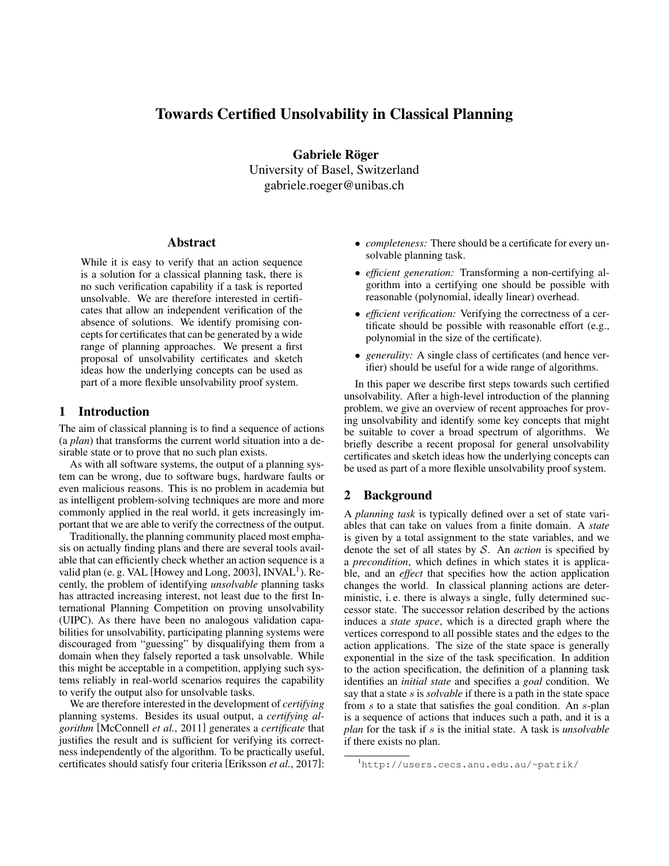# Towards Certified Unsolvability in Classical Planning

Gabriele Röger University of Basel, Switzerland gabriele.roeger@unibas.ch

### Abstract

While it is easy to verify that an action sequence is a solution for a classical planning task, there is no such verification capability if a task is reported unsolvable. We are therefore interested in certificates that allow an independent verification of the absence of solutions. We identify promising concepts for certificates that can be generated by a wide range of planning approaches. We present a first proposal of unsolvability certificates and sketch ideas how the underlying concepts can be used as part of a more flexible unsolvability proof system.

# 1 Introduction

The aim of classical planning is to find a sequence of actions (a *plan*) that transforms the current world situation into a desirable state or to prove that no such plan exists.

As with all software systems, the output of a planning system can be wrong, due to software bugs, hardware faults or even malicious reasons. This is no problem in academia but as intelligent problem-solving techniques are more and more commonly applied in the real world, it gets increasingly important that we are able to verify the correctness of the output.

Traditionally, the planning community placed most emphasis on actually finding plans and there are several tools available that can efficiently check whether an action sequence is a valid plan (e. g. VAL [Howey and Long, 2003], INVAL<sup>1</sup>). Recently, the problem of identifying *unsolvable* planning tasks has attracted increasing interest, not least due to the first International Planning Competition on proving unsolvability (UIPC). As there have been no analogous validation capabilities for unsolvability, participating planning systems were discouraged from "guessing" by disqualifying them from a domain when they falsely reported a task unsolvable. While this might be acceptable in a competition, applying such systems reliably in real-world scenarios requires the capability to verify the output also for unsolvable tasks.

We are therefore interested in the development of *certifying* planning systems. Besides its usual output, a *certifying algorithm* [McConnell *et al.*, 2011] generates a *certificate* that justifies the result and is sufficient for verifying its correctness independently of the algorithm. To be practically useful, certificates should satisfy four criteria [Eriksson *et al.*, 2017]:

- *completeness:* There should be a certificate for every unsolvable planning task.
- *efficient generation:* Transforming a non-certifying algorithm into a certifying one should be possible with reasonable (polynomial, ideally linear) overhead.
- *efficient verification:* Verifying the correctness of a certificate should be possible with reasonable effort (e.g., polynomial in the size of the certificate).
- *generality:* A single class of certificates (and hence verifier) should be useful for a wide range of algorithms.

In this paper we describe first steps towards such certified unsolvability. After a high-level introduction of the planning problem, we give an overview of recent approaches for proving unsolvability and identify some key concepts that might be suitable to cover a broad spectrum of algorithms. We briefly describe a recent proposal for general unsolvability certificates and sketch ideas how the underlying concepts can be used as part of a more flexible unsolvability proof system.

# 2 Background

A *planning task* is typically defined over a set of state variables that can take on values from a finite domain. A *state* is given by a total assignment to the state variables, and we denote the set of all states by S. An *action* is specified by a *precondition*, which defines in which states it is applicable, and an *effect* that specifies how the action application changes the world. In classical planning actions are deterministic, i.e. there is always a single, fully determined successor state. The successor relation described by the actions induces a *state space*, which is a directed graph where the vertices correspond to all possible states and the edges to the action applications. The size of the state space is generally exponential in the size of the task specification. In addition to the action specification, the definition of a planning task identifies an *initial state* and specifies a *goal* condition. We say that a state s is *solvable* if there is a path in the state space from s to a state that satisfies the goal condition. An s-plan is a sequence of actions that induces such a path, and it is a *plan* for the task if s is the initial state. A task is *unsolvable* if there exists no plan.

<sup>1</sup>http://users.cecs.anu.edu.au/~patrik/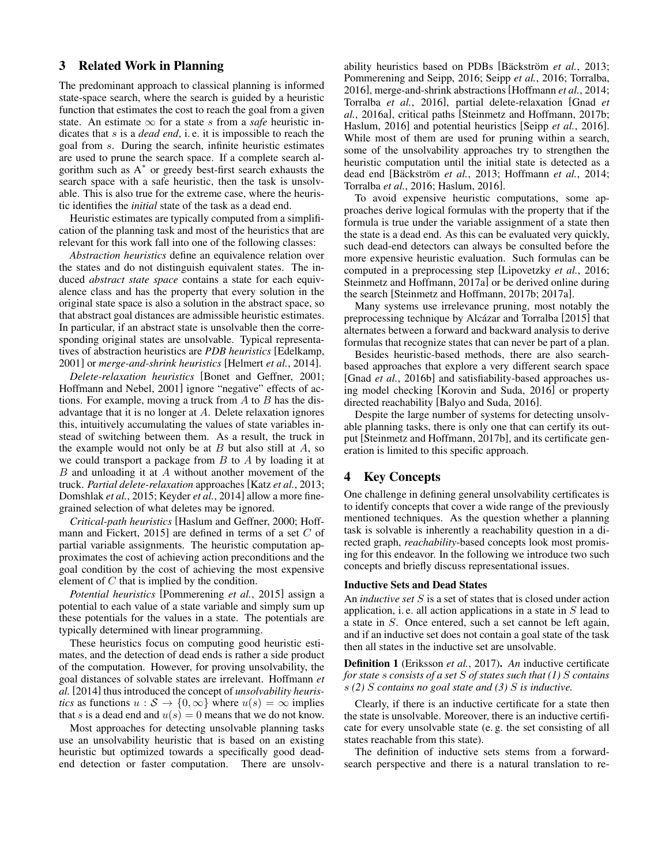# 3 Related Work in Planning

The predominant approach to classical planning is informed state-space search, where the search is guided by a heuristic function that estimates the cost to reach the goal from a given state. An estimate  $\infty$  for a state s from a *safe* heuristic indicates that s is a *dead end*, i. e. it is impossible to reach the goal from s. During the search, infinite heuristic estimates are used to prune the search space. If a complete search algorithm such as A<sup>∗</sup> or greedy best-first search exhausts the search space with a safe heuristic, then the task is unsolvable. This is also true for the extreme case, where the heuristic identifies the *initial* state of the task as a dead end.

Heuristic estimates are typically computed from a simplification of the planning task and most of the heuristics that are relevant for this work fall into one of the following classes:

*Abstraction heuristics* define an equivalence relation over the states and do not distinguish equivalent states. The induced *abstract state space* contains a state for each equivalence class and has the property that every solution in the original state space is also a solution in the abstract space, so that abstract goal distances are admissible heuristic estimates. In particular, if an abstract state is unsolvable then the corresponding original states are unsolvable. Typical representatives of abstraction heuristics are *PDB heuristics* [Edelkamp, 2001] or *merge-and-shrink heuristics* [Helmert *et al.*, 2014].

*Delete-relaxation heuristics* [Bonet and Geffner, 2001; Hoffmann and Nebel, 2001] ignore "negative" effects of actions. For example, moving a truck from  $A$  to  $B$  has the disadvantage that it is no longer at A. Delete relaxation ignores this, intuitively accumulating the values of state variables instead of switching between them. As a result, the truck in the example would not only be at  $B$  but also still at  $A$ , so we could transport a package from  $B$  to  $A$  by loading it at B and unloading it at A without another movement of the truck. *Partial delete-relaxation* approaches [Katz *et al.*, 2013; Domshlak *et al.*, 2015; Keyder *et al.*, 2014] allow a more finegrained selection of what deletes may be ignored.

*Critical-path heuristics* [Haslum and Geffner, 2000; Hoffmann and Fickert, 2015] are defined in terms of a set C of partial variable assignments. The heuristic computation approximates the cost of achieving action preconditions and the goal condition by the cost of achieving the most expensive element of C that is implied by the condition.

*Potential heuristics* [Pommerening *et al.*, 2015] assign a potential to each value of a state variable and simply sum up these potentials for the values in a state. The potentials are typically determined with linear programming.

These heuristics focus on computing good heuristic estimates, and the detection of dead ends is rather a side product of the computation. However, for proving unsolvability, the goal distances of solvable states are irrelevant. Hoffmann *et al.* [2014] thus introduced the concept of *unsolvability heuristics* as functions  $u : \mathcal{S} \to \{0, \infty\}$  where  $u(s) = \infty$  implies that s is a dead end and  $u(s) = 0$  means that we do not know.

Most approaches for detecting unsolvable planning tasks use an unsolvability heuristic that is based on an existing heuristic but optimized towards a specifically good deadend detection or faster computation. There are unsolvability heuristics based on PDBs [Bäckström *et al.*, 2013; Pommerening and Seipp, 2016; Seipp *et al.*, 2016; Torralba, 2016], merge-and-shrink abstractions [Hoffmann *et al.*, 2014; Torralba *et al.*, 2016], partial delete-relaxation [Gnad *et al.*, 2016a], critical paths [Steinmetz and Hoffmann, 2017b; Haslum, 2016] and potential heuristics [Seipp *et al.*, 2016]. While most of them are used for pruning within a search, some of the unsolvability approaches try to strengthen the heuristic computation until the initial state is detected as a dead end [Bäckström *et al.*, 2013; Hoffmann *et al.*, 2014; Torralba *et al.*, 2016; Haslum, 2016].

To avoid expensive heuristic computations, some approaches derive logical formulas with the property that if the formula is true under the variable assignment of a state then the state is a dead end. As this can be evaluated very quickly, such dead-end detectors can always be consulted before the more expensive heuristic evaluation. Such formulas can be computed in a preprocessing step [Lipovetzky *et al.*, 2016; Steinmetz and Hoffmann, 2017a] or be derived online during the search [Steinmetz and Hoffmann, 2017b; 2017a].

Many systems use irrelevance pruning, most notably the preprocessing technique by Alcázar and Torralba [2015] that alternates between a forward and backward analysis to derive formulas that recognize states that can never be part of a plan.

Besides heuristic-based methods, there are also searchbased approaches that explore a very different search space [Gnad *et al.*, 2016b] and satisfiability-based approaches using model checking [Korovin and Suda, 2016] or property directed reachability [Balyo and Suda, 2016].

Despite the large number of systems for detecting unsolvable planning tasks, there is only one that can certify its output [Steinmetz and Hoffmann, 2017b], and its certificate generation is limited to this specific approach.

# 4 Key Concepts

One challenge in defining general unsolvability certificates is to identify concepts that cover a wide range of the previously mentioned techniques. As the question whether a planning task is solvable is inherently a reachability question in a directed graph, *reachability*-based concepts look most promising for this endeavor. In the following we introduce two such concepts and briefly discuss representational issues.

### Inductive Sets and Dead States

An *inductive set* S is a set of states that is closed under action application, i.e. all action applications in a state in  $S$  lead to a state in S. Once entered, such a set cannot be left again, and if an inductive set does not contain a goal state of the task then all states in the inductive set are unsolvable.

Definition 1 (Eriksson *et al.*, 2017). *An* inductive certificate *for state* s *consists of a set* S *of states such that (1)* S *contains* s *(2)* S *contains no goal state and (3)* S *is inductive.*

Clearly, if there is an inductive certificate for a state then the state is unsolvable. Moreover, there is an inductive certificate for every unsolvable state (e. g. the set consisting of all states reachable from this state).

The definition of inductive sets stems from a forwardsearch perspective and there is a natural translation to re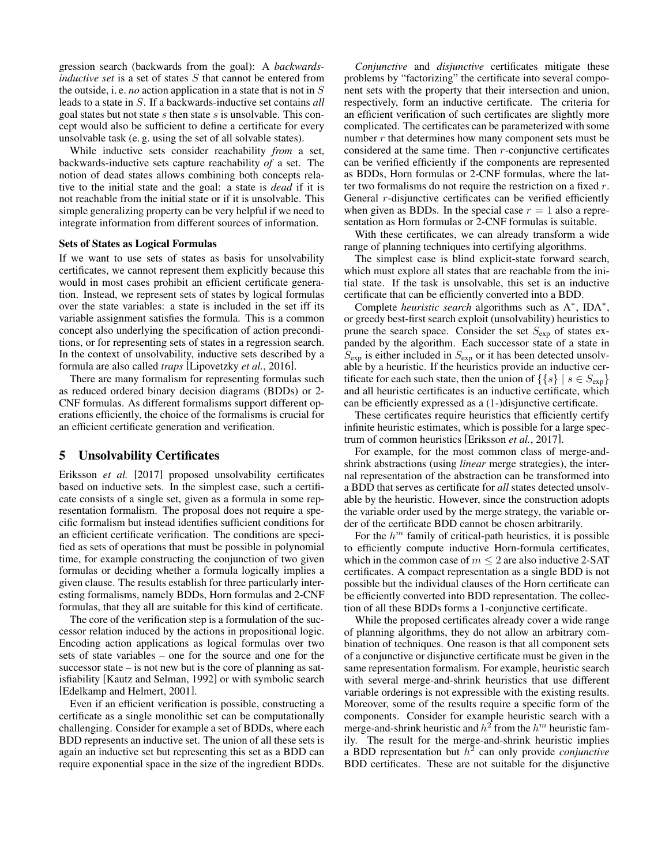gression search (backwards from the goal): A *backwardsinductive set* is a set of states S that cannot be entered from the outside, i. e. *no* action application in a state that is not in S leads to a state in S. If a backwards-inductive set contains *all* goal states but not state  $s$  then state  $s$  is unsolvable. This concept would also be sufficient to define a certificate for every unsolvable task (e. g. using the set of all solvable states).

While inductive sets consider reachability *from* a set, backwards-inductive sets capture reachability *of* a set. The notion of dead states allows combining both concepts relative to the initial state and the goal: a state is *dead* if it is not reachable from the initial state or if it is unsolvable. This simple generalizing property can be very helpful if we need to integrate information from different sources of information.

#### Sets of States as Logical Formulas

If we want to use sets of states as basis for unsolvability certificates, we cannot represent them explicitly because this would in most cases prohibit an efficient certificate generation. Instead, we represent sets of states by logical formulas over the state variables: a state is included in the set iff its variable assignment satisfies the formula. This is a common concept also underlying the specification of action preconditions, or for representing sets of states in a regression search. In the context of unsolvability, inductive sets described by a formula are also called *traps* [Lipovetzky *et al.*, 2016].

There are many formalism for representing formulas such as reduced ordered binary decision diagrams (BDDs) or 2- CNF formulas. As different formalisms support different operations efficiently, the choice of the formalisms is crucial for an efficient certificate generation and verification.

### 5 Unsolvability Certificates

Eriksson *et al.* [2017] proposed unsolvability certificates based on inductive sets. In the simplest case, such a certificate consists of a single set, given as a formula in some representation formalism. The proposal does not require a specific formalism but instead identifies sufficient conditions for an efficient certificate verification. The conditions are specified as sets of operations that must be possible in polynomial time, for example constructing the conjunction of two given formulas or deciding whether a formula logically implies a given clause. The results establish for three particularly interesting formalisms, namely BDDs, Horn formulas and 2-CNF formulas, that they all are suitable for this kind of certificate.

The core of the verification step is a formulation of the successor relation induced by the actions in propositional logic. Encoding action applications as logical formulas over two sets of state variables – one for the source and one for the successor state – is not new but is the core of planning as satisfiability [Kautz and Selman, 1992] or with symbolic search [Edelkamp and Helmert, 2001].

Even if an efficient verification is possible, constructing a certificate as a single monolithic set can be computationally challenging. Consider for example a set of BDDs, where each BDD represents an inductive set. The union of all these sets is again an inductive set but representing this set as a BDD can require exponential space in the size of the ingredient BDDs.

*Conjunctive* and *disjunctive* certificates mitigate these problems by "factorizing" the certificate into several component sets with the property that their intersection and union, respectively, form an inductive certificate. The criteria for an efficient verification of such certificates are slightly more complicated. The certificates can be parameterized with some number  $r$  that determines how many component sets must be considered at the same time. Then r-conjunctive certificates can be verified efficiently if the components are represented as BDDs, Horn formulas or 2-CNF formulas, where the latter two formalisms do not require the restriction on a fixed r. General *r*-disjunctive certificates can be verified efficiently when given as BDDs. In the special case  $r = 1$  also a representation as Horn formulas or 2-CNF formulas is suitable.

With these certificates, we can already transform a wide range of planning techniques into certifying algorithms.

The simplest case is blind explicit-state forward search, which must explore all states that are reachable from the initial state. If the task is unsolvable, this set is an inductive certificate that can be efficiently converted into a BDD.

Complete *heuristic search* algorithms such as A<sup>∗</sup> , IDA<sup>∗</sup> , or greedy best-first search exploit (unsolvability) heuristics to prune the search space. Consider the set  $S_{\text{exp}}$  of states expanded by the algorithm. Each successor state of a state in  $S_{\text{exp}}$  is either included in  $S_{\text{exp}}$  or it has been detected unsolvable by a heuristic. If the heuristics provide an inductive certificate for each such state, then the union of  $\{\{s\} \mid s \in S_{\text{exp}}\}\$ and all heuristic certificates is an inductive certificate, which can be efficiently expressed as a (1-)disjunctive certificate.

These certificates require heuristics that efficiently certify infinite heuristic estimates, which is possible for a large spectrum of common heuristics [Eriksson *et al.*, 2017].

For example, for the most common class of merge-andshrink abstractions (using *linear* merge strategies), the internal representation of the abstraction can be transformed into a BDD that serves as certificate for *all* states detected unsolvable by the heuristic. However, since the construction adopts the variable order used by the merge strategy, the variable order of the certificate BDD cannot be chosen arbitrarily.

For the  $h^m$  family of critical-path heuristics, it is possible to efficiently compute inductive Horn-formula certificates, which in the common case of  $m \leq 2$  are also inductive 2-SAT certificates. A compact representation as a single BDD is not possible but the individual clauses of the Horn certificate can be efficiently converted into BDD representation. The collection of all these BDDs forms a 1-conjunctive certificate.

While the proposed certificates already cover a wide range of planning algorithms, they do not allow an arbitrary combination of techniques. One reason is that all component sets of a conjunctive or disjunctive certificate must be given in the same representation formalism. For example, heuristic search with several merge-and-shrink heuristics that use different variable orderings is not expressible with the existing results. Moreover, some of the results require a specific form of the components. Consider for example heuristic search with a merge-and-shrink heuristic and  $h^2$  from the  $h^m$  heuristic family. The result for the merge-and-shrink heuristic implies a BDD representation but  $h^2$  can only provide *conjunctive* BDD certificates. These are not suitable for the disjunctive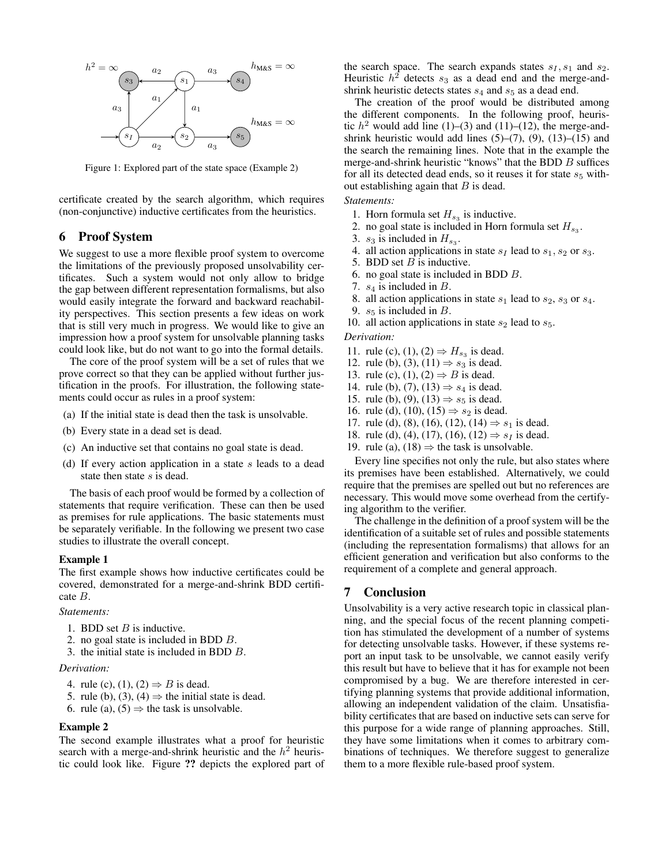

Figure 1: Explored part of the state space (Example 2)

certificate created by the search algorithm, which requires (non-conjunctive) inductive certificates from the heuristics.

# 6 Proof System

We suggest to use a more flexible proof system to overcome the limitations of the previously proposed unsolvability certificates. Such a system would not only allow to bridge the gap between different representation formalisms, but also would easily integrate the forward and backward reachability perspectives. This section presents a few ideas on work that is still very much in progress. We would like to give an impression how a proof system for unsolvable planning tasks could look like, but do not want to go into the formal details.

The core of the proof system will be a set of rules that we prove correct so that they can be applied without further justification in the proofs. For illustration, the following statements could occur as rules in a proof system:

- (a) If the initial state is dead then the task is unsolvable.
- (b) Every state in a dead set is dead.
- (c) An inductive set that contains no goal state is dead.
- (d) If every action application in a state  $s$  leads to a dead state then state s is dead.

The basis of each proof would be formed by a collection of statements that require verification. These can then be used as premises for rule applications. The basic statements must be separately verifiable. In the following we present two case studies to illustrate the overall concept.

### Example 1

The first example shows how inductive certificates could be covered, demonstrated for a merge-and-shrink BDD certificate B.

#### *Statements:*

- 1. BDD set  $B$  is inductive.
- 2. no goal state is included in BDD B.
- 3. the initial state is included in BDD B.

#### *Derivation:*

- 4. rule (c), (1), (2)  $\Rightarrow$  B is dead.
- 5. rule (b), (3), (4)  $\Rightarrow$  the initial state is dead.
- 6. rule (a),  $(5) \Rightarrow$  the task is unsolvable.

#### Example 2

The second example illustrates what a proof for heuristic search with a merge-and-shrink heuristic and the  $h^2$  heuristic could look like. Figure ?? depicts the explored part of the search space. The search expands states  $s_1, s_1$  and  $s_2$ . Heuristic  $h^2$  detects  $s_3$  as a dead end and the merge-andshrink heuristic detects states  $s_4$  and  $s_5$  as a dead end.

The creation of the proof would be distributed among the different components. In the following proof, heuristic  $h^2$  would add line (1)–(3) and (11)–(12), the merge-andshrink heuristic would add lines  $(5)-(7)$ ,  $(9)$ ,  $(13)-(15)$  and the search the remaining lines. Note that in the example the merge-and-shrink heuristic "knows" that the BDD  $B$  suffices for all its detected dead ends, so it reuses it for state  $s<sub>5</sub>$  without establishing again that  $B$  is dead.

### *Statements:*

- 1. Horn formula set  $H_{s_3}$  is inductive.
- 2. no goal state is included in Horn formula set  $H_{s_3}$ .
- 3.  $s_3$  is included in  $H_{s_3}$ .
- 4. all action applications in state  $s_I$  lead to  $s_1, s_2$  or  $s_3$ .
- 5. BDD set  $B$  is inductive.
- 6. no goal state is included in BDD B.
- 7.  $s_4$  is included in  $B$ .
- 8. all action applications in state  $s_1$  lead to  $s_2$ ,  $s_3$  or  $s_4$ .
- 9.  $s_5$  is included in B.
- 10. all action applications in state  $s_2$  lead to  $s_5$ .

#### *Derivation:*

- 11. rule (c), (1), (2)  $\Rightarrow$   $H_{s_3}$  is dead.
- 12. rule (b), (3), (11)  $\Rightarrow$   $s_3$  is dead.
- 13. rule (c), (1), (2)  $\Rightarrow$  B is dead.
- 14. rule (b), (7), (13)  $\Rightarrow s_4$  is dead.
- 15. rule (b), (9), (13)  $\Rightarrow$  s<sub>5</sub> is dead.
- 16. rule (d), (10), (15)  $\Rightarrow s_2$  is dead.
- 17. rule (d), (8), (16), (12), (14)  $\Rightarrow$   $s_1$  is dead.
- 18. rule (d), (4), (17), (16), (12)  $\Rightarrow$  s<sub>I</sub> is dead.
- 19. rule (a), (18)  $\Rightarrow$  the task is unsolvable.

Every line specifies not only the rule, but also states where its premises have been established. Alternatively, we could require that the premises are spelled out but no references are necessary. This would move some overhead from the certifying algorithm to the verifier.

The challenge in the definition of a proof system will be the identification of a suitable set of rules and possible statements (including the representation formalisms) that allows for an efficient generation and verification but also conforms to the requirement of a complete and general approach.

### 7 Conclusion

Unsolvability is a very active research topic in classical planning, and the special focus of the recent planning competition has stimulated the development of a number of systems for detecting unsolvable tasks. However, if these systems report an input task to be unsolvable, we cannot easily verify this result but have to believe that it has for example not been compromised by a bug. We are therefore interested in certifying planning systems that provide additional information, allowing an independent validation of the claim. Unsatisfiability certificates that are based on inductive sets can serve for this purpose for a wide range of planning approaches. Still, they have some limitations when it comes to arbitrary combinations of techniques. We therefore suggest to generalize them to a more flexible rule-based proof system.